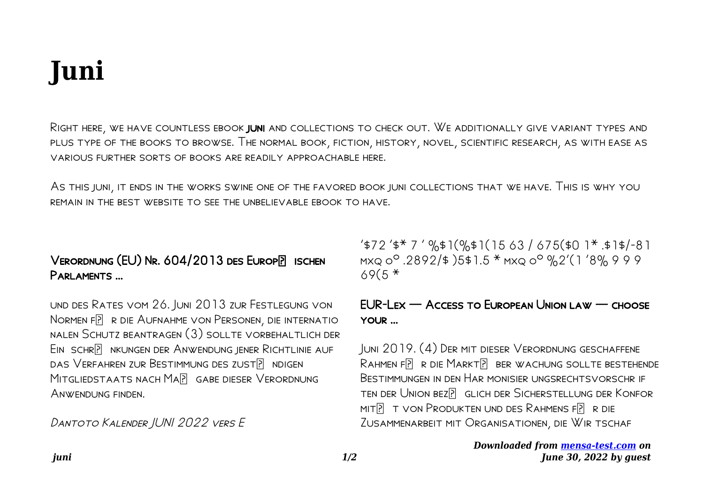# **Juni**

Eventually, you will totally discover a supplementary experience and achievement by spending more cash. nevertheless when? pull off you bow to that you require to acquire those every needs taking into account having significantly cash? Why dont you try to get something basic in the beginning? Thats something that will guide you to understand even more re the globe, experience, some places, subsequent to history, amusement, and a lot more?

It is your unconditionally own get older to operate reviewing habit. along with guides you could enjoy now is **juni** below.

## **Klimaplan for en grøn affaldssektor og cirkulær økonomi**

16. juni 2020 . 2 Formål Der er med bred opbakning i Folketinget sat et meget ambitiøst mål om at reducere de nationale drivhusgasudledninger med 70 pct. i 2030 i forhold til 1990. Regeringen (Socialdemokratiet), Venstre, Radikale Venstre, Socialistisk Folkeparti, Enhedslisten, Det Kon-

*Cryptocurrencies: A Guide to Getting Started Global Future …*

transact<del>io</del>QQ*aded የ*ንበል [mensa](https://mensa-test.com)*[test.com](https://mensa-test.com) on June 28, 2022 by guest* Apr 28, 2021 · 2.1 2.2 2.3 There are, however, a handful of privacy coins that enable private blockchain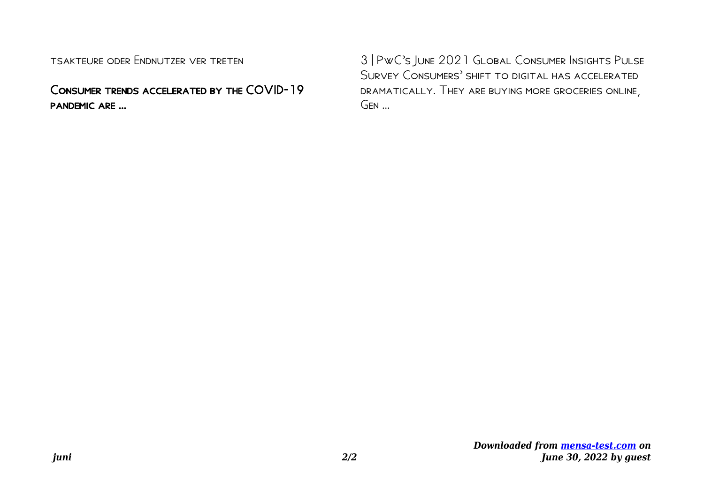explorer A block explorer – a website that tracks all the

#### Dantoto Kalender JUNI 2022 vers E

'\$72 '\$\* 7 ' %\$1(%\$1(15 63 / 675(\$0 1\* .\$1\$/-81 mxq  $0^{\circ}$  .2892/\$ )5\$1.5 \* mxq oº %2'(1 '8% 9 9 9  $69(5 *$ 

*RICHTLIJN (EU) 2019/ 944 VAN HET EUROPEES PARLEMENT …*

van 5 juni 2019 betreffende gemeenschappelijke regels voor de inter ne markt voor elektr iciteit en tot wijziging van Richtlijn 2012/27/EU (herschikking) (Voor de EER relevante teks t) HET EUROPEES PARLEMENT EN DE RAAD VAN DE EUROPESE UNIE, Gezien het Verdrag betreffende de werking van de Europese Unie, en met name ar tikel 194, lid 2, ...

#### Holzpreise aktuell & regional - LAND & FORST

Holzpreise aktuell & regional Stichtag: 15. Juni 2021 Diese Holzpreisübersicht basiert auf den Preismeldungen der LWK-Forstämter aus allen Teilen Niedersachsens. Neben den Preisspannen erhalten Sie Informationen über die aktuellen Trends bei den wichtigsten Marktsegmenten.

## **1254 Ishihara Instructions - Stanford University**

Ishihara Instructions The Series of Plates Designed as a Test for Color Deficiency SHINOBU ISHIHARA M.D., Dr.Med. Sc. Professor Emeritus of the University of Tokyo

## **Oerol Festival 2022 vrijdag 10 juni 2022**

*Downloaded from [mensa-](https://mensa-test.com)*Oerol Festival 2022 *[test.com](https://mensa-test.com) on June 28, 2022 by guest*